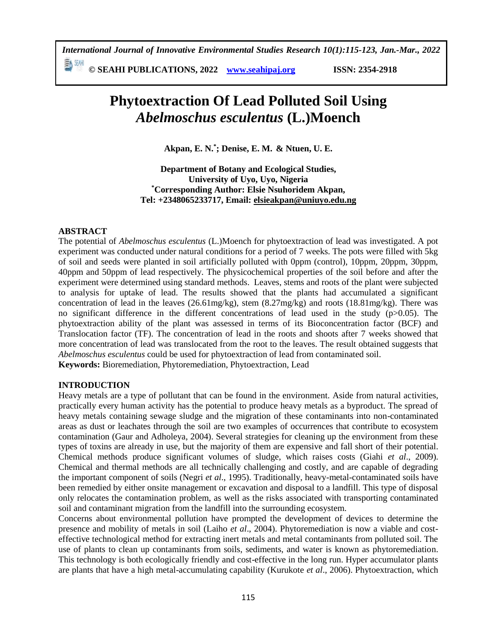*International Journal of Innovative Environmental Studies Research 10(1):115-123, Jan.-Mar., 2022*

≣∆ ∜ЯН **© SEAHI PUBLICATIONS, 2022 [www.seahipaj.org](http://www.seahipaj.org/) ISSN: 2354-2918**

# **Phytoextraction Of Lead Polluted Soil Using** *Abelmoschus esculentus* **(L.)Moench**

**Akpan, E. N. \* ; Denise, E. M. & Ntuen, U. E.**

**Department of Botany and Ecological Studies, University of Uyo, Uyo, Nigeria \*Corresponding Author: Elsie Nsuhoridem Akpan, Tel: +2348065233717, Email: elsieakpan@uniuyo.edu.ng**

#### **ABSTRACT**

The potential of *Abelmoschus esculentus* (L.)Moench for phytoextraction of lead was investigated. A pot experiment was conducted under natural conditions for a period of 7 weeks. The pots were filled with 5kg of soil and seeds were planted in soil artificially polluted with 0ppm (control), 10ppm, 20ppm, 30ppm, 40ppm and 50ppm of lead respectively. The physicochemical properties of the soil before and after the experiment were determined using standard methods. Leaves, stems and roots of the plant were subjected to analysis for uptake of lead. The results showed that the plants had accumulated a significant concentration of lead in the leaves (26.61mg/kg), stem (8.27mg/kg) and roots (18.81mg/kg). There was no significant difference in the different concentrations of lead used in the study (p>0.05). The phytoextraction ability of the plant was assessed in terms of its Bioconcentration factor (BCF) and Translocation factor (TF). The concentration of lead in the roots and shoots after 7 weeks showed that more concentration of lead was translocated from the root to the leaves. The result obtained suggests that *Abelmoschus esculentus* could be used for phytoextraction of lead from contaminated soil.

**Keywords:** Bioremediation, Phytoremediation, Phytoextraction, Lead

#### **INTRODUCTION**

Heavy metals are a type of pollutant that can be found in the environment. Aside from natural activities, practically every human activity has the potential to produce heavy metals as a byproduct. The spread of heavy metals containing sewage sludge and the migration of these contaminants into non-contaminated areas as dust or leachates through the soil are two examples of occurrences that contribute to ecosystem contamination (Gaur and Adholeya, 2004). Several strategies for cleaning up the environment from these types of toxins are already in use, but the majority of them are expensive and fall short of their potential. Chemical methods produce significant volumes of sludge, which raises costs (Giahi *et al*., 2009). Chemical and thermal methods are all technically challenging and costly, and are capable of degrading the important component of soils (Negri *et al*., 1995). Traditionally, heavy-metal-contaminated soils have been remedied by either onsite management or excavation and disposal to a landfill. This type of disposal only relocates the contamination problem, as well as the risks associated with transporting contaminated soil and contaminant migration from the landfill into the surrounding ecosystem.

Concerns about environmental pollution have prompted the development of devices to determine the presence and mobility of metals in soil (Laiho *et al*., 2004). Phytoremediation is now a viable and costeffective technological method for extracting inert metals and metal contaminants from polluted soil. The use of plants to clean up contaminants from soils, sediments, and water is known as phytoremediation. This technology is both ecologically friendly and cost-effective in the long run. Hyper accumulator plants are plants that have a high metal-accumulating capability (Kurukote *et al*., 2006). Phytoextraction, which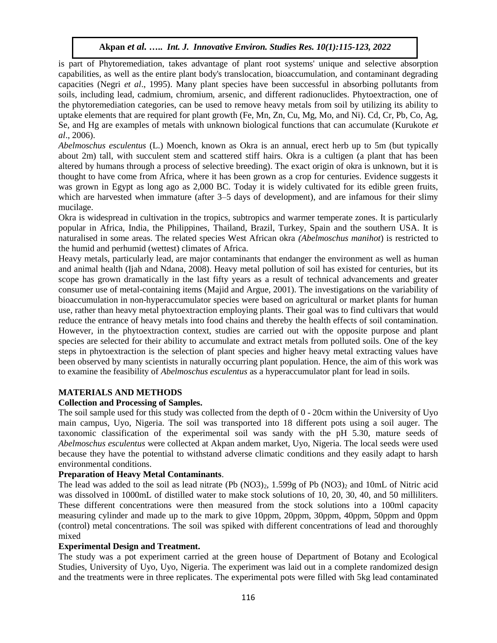is part of Phytoremediation, takes advantage of plant root systems' unique and selective absorption capabilities, as well as the entire plant body's translocation, bioaccumulation, and contaminant degrading capacities (Negri *et al*., 1995). Many plant species have been successful in absorbing pollutants from soils, including lead, cadmium, chromium, arsenic, and different radionuclides. Phytoextraction, one of the phytoremediation categories, can be used to remove heavy metals from soil by utilizing its ability to uptake elements that are required for plant growth (Fe, Mn, Zn, Cu, Mg, Mo, and Ni). Cd, Cr, Pb, Co, Ag, Se, and Hg are examples of metals with unknown biological functions that can accumulate (Kurukote *et al*., 2006).

*Abelmoschus esculentus* (L.) Moench, known as Okra is an annual, erect herb up to 5m (but typically about 2m) tall, with succulent stem and scattered stiff hairs. Okra is a cultigen (a plant that has been altered by humans through a process of selective breeding). The exact origin of okra is unknown, but it is thought to have come from Africa, where it has been grown as a crop for centuries. Evidence suggests it was grown in Egypt as long ago as 2,000 BC. Today it is widely cultivated for its edible green fruits, which are harvested when immature (after 3–5 days of development), and are infamous for their slimy mucilage.

Okra is widespread in cultivation in the tropics, subtropics and warmer temperate zones. It is particularly popular in Africa, India, the Philippines, Thailand, Brazil, Turkey, Spain and the southern USA. It is naturalised in some areas. The related species West African okra *(Abelmoschus manihot*) is restricted to the humid and perhumid (wettest) climates of Africa.

Heavy metals, particularly lead, are major contaminants that endanger the environment as well as human and animal health (Ijah and Ndana, 2008). Heavy metal pollution of soil has existed for centuries, but its scope has grown dramatically in the last fifty years as a result of technical advancements and greater consumer use of metal-containing items (Majid and Argue, 2001). The investigations on the variability of bioaccumulation in non-hyperaccumulator species were based on agricultural or market plants for human use, rather than heavy metal phytoextraction employing plants. Their goal was to find cultivars that would reduce the entrance of heavy metals into food chains and thereby the health effects of soil contamination. However, in the phytoextraction context, studies are carried out with the opposite purpose and plant species are selected for their ability to accumulate and extract metals from polluted soils. One of the key steps in phytoextraction is the selection of plant species and higher heavy metal extracting values have been observed by many scientists in naturally occurring plant population. Hence, the aim of this work was to examine the feasibility of *Abelmoschus esculentus* as a hyperaccumulator plant for lead in soils.

# **MATERIALS AND METHODS**

# **Collection and Processing of Samples.**

The soil sample used for this study was collected from the depth of 0 - 20cm within the University of Uyo main campus, Uyo, Nigeria. The soil was transported into 18 different pots using a soil auger. The taxonomic classification of the experimental soil was sandy with the pH 5.30, mature seeds of *Abelmoschus esculentus* were collected at Akpan andem market, Uyo, Nigeria. The local seeds were used because they have the potential to withstand adverse climatic conditions and they easily adapt to harsh environmental conditions.

#### **Preparation of Heavy Metal Contaminants**.

The lead was added to the soil as lead nitrate  $(Pb (NO3)<sub>2</sub>, 1.599g of Pb (NO3)<sub>2</sub> and 10mL of Nitric acid)$ was dissolved in 1000mL of distilled water to make stock solutions of 10, 20, 30, 40, and 50 milliliters. These different concentrations were then measured from the stock solutions into a 100ml capacity measuring cylinder and made up to the mark to give 10ppm, 20ppm, 30ppm, 40ppm, 50ppm and 0ppm (control) metal concentrations. The soil was spiked with different concentrations of lead and thoroughly mixed

#### **Experimental Design and Treatment.**

The study was a pot experiment carried at the green house of Department of Botany and Ecological Studies, University of Uyo, Uyo, Nigeria. The experiment was laid out in a complete randomized design and the treatments were in three replicates. The experimental pots were filled with 5kg lead contaminated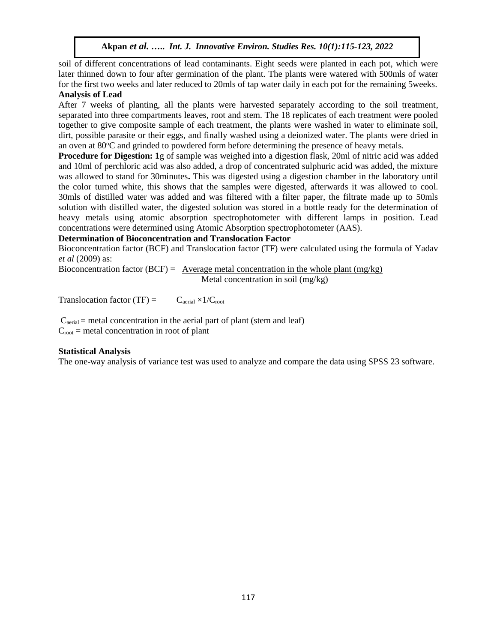soil of different concentrations of lead contaminants. Eight seeds were planted in each pot, which were later thinned down to four after germination of the plant. The plants were watered with 500mls of water for the first two weeks and later reduced to 20mls of tap water daily in each pot for the remaining 5weeks. **Analysis of Lead**

After 7 weeks of planting, all the plants were harvested separately according to the soil treatment, separated into three compartments leaves, root and stem. The 18 replicates of each treatment were pooled together to give composite sample of each treatment, the plants were washed in water to eliminate soil, dirt, possible parasite or their eggs, and finally washed using a deionized water. The plants were dried in an oven at  $80^{\circ}$ C and grinded to powdered form before determining the presence of heavy metals.

**Procedure for Digestion: 1**g of sample was weighed into a digestion flask, 20ml of nitric acid was added and 10ml of perchloric acid was also added, a drop of concentrated sulphuric acid was added, the mixture was allowed to stand for 30minutes**.** This was digested using a digestion chamber in the laboratory until the color turned white, this shows that the samples were digested, afterwards it was allowed to cool. 30mls of distilled water was added and was filtered with a filter paper, the filtrate made up to 50mls solution with distilled water, the digested solution was stored in a bottle ready for the determination of heavy metals using atomic absorption spectrophotometer with different lamps in position. Lead concentrations were determined using Atomic Absorption spectrophotometer (AAS).

#### **Determination of Bioconcentration and Translocation Factor**

Bioconcentration factor (BCF) and Translocation factor (TF) were calculated using the formula of Yadav *et al* (2009) as:

Bioconcentration factor (BCF) = Average metal concentration in the whole plant  $(mg/kg)$ Metal concentration in soil (mg/kg)

Translocation factor (TF) =  $C_{\text{aerial}} \times 1/C_{\text{root}}$ 

 $C_{\text{actual}}$  = metal concentration in the aerial part of plant (stem and leaf)  $C_{\text{root}}$  = metal concentration in root of plant

#### **Statistical Analysis**

The one-way analysis of variance test was used to analyze and compare the data using SPSS 23 software.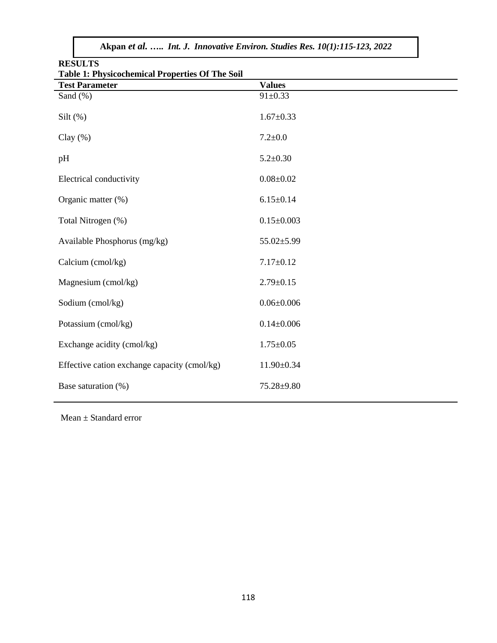| <b>RESULTS</b><br><b>Table 1: Physicochemical Properties Of The Soil</b> |                  |  |  |  |  |
|--------------------------------------------------------------------------|------------------|--|--|--|--|
| <b>Test Parameter</b>                                                    | <b>Values</b>    |  |  |  |  |
| Sand (%)                                                                 | $91 \pm 0.33$    |  |  |  |  |
| Silt $(\%)$                                                              | $1.67 \pm 0.33$  |  |  |  |  |
| Clay $(\%)$                                                              | $7.2 \pm 0.0$    |  |  |  |  |
| pH                                                                       | $5.2 \pm 0.30$   |  |  |  |  |
| Electrical conductivity                                                  | $0.08 + 0.02$    |  |  |  |  |
| Organic matter (%)                                                       | $6.15 \pm 0.14$  |  |  |  |  |
| Total Nitrogen (%)                                                       | $0.15 \pm 0.003$ |  |  |  |  |
| Available Phosphorus (mg/kg)                                             | $55.02 \pm 5.99$ |  |  |  |  |
| Calcium (cmol/kg)                                                        | $7.17 \pm 0.12$  |  |  |  |  |
| Magnesium (cmol/kg)                                                      | $2.79 \pm 0.15$  |  |  |  |  |
| Sodium (cmol/kg)                                                         | $0.06 \pm 0.006$ |  |  |  |  |
| Potassium (cmol/kg)                                                      | $0.14 \pm 0.006$ |  |  |  |  |
| Exchange acidity (cmol/kg)                                               | $1.75 \pm 0.05$  |  |  |  |  |
| Effective cation exchange capacity (cmol/kg)                             | $11.90 \pm 0.34$ |  |  |  |  |
| Base saturation (%)                                                      | 75.28±9.80       |  |  |  |  |

Mean ± Standard error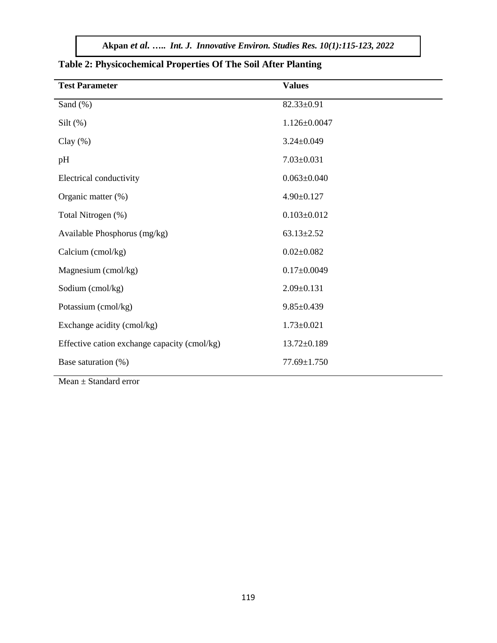| <b>Test Parameter</b>                        | <b>Values</b>      |
|----------------------------------------------|--------------------|
| Sand (%)                                     | $82.33 \pm 0.91$   |
| Silt $(\%)$                                  | $1.126 \pm 0.0047$ |
| Clay $(\%)$                                  | $3.24 \pm 0.049$   |
| pH                                           | $7.03 \pm 0.031$   |
| Electrical conductivity                      | $0.063 \pm 0.040$  |
| Organic matter (%)                           | $4.90 \pm 0.127$   |
| Total Nitrogen (%)                           | $0.103 \pm 0.012$  |
| Available Phosphorus (mg/kg)                 | $63.13 \pm 2.52$   |
| Calcium (cmol/kg)                            | $0.02 \pm 0.082$   |
| Magnesium (cmol/kg)                          | $0.17 \pm 0.0049$  |
| Sodium (cmol/kg)                             | $2.09 \pm 0.131$   |
| Potassium (cmol/kg)                          | $9.85 \pm 0.439$   |
| Exchange acidity (cmol/kg)                   | $1.73 \pm 0.021$   |
| Effective cation exchange capacity (cmol/kg) | $13.72 \pm 0.189$  |
| Base saturation (%)                          | 77.69±1.750        |

# **Table 2: Physicochemical Properties Of The Soil After Planting**

Mean  $\pm$  Standard error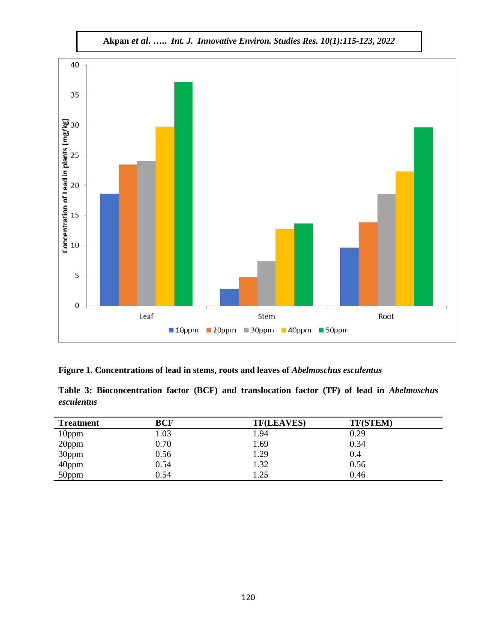

**Figure 1. Concentrations of lead in stems, roots and leaves of** *Abelmoschus esculentus*

|            | Table 3: Bioconcentration factor (BCF) and translocation factor (TF) of lead in <i>Abelmoschus</i> |  |  |  |  |  |
|------------|----------------------------------------------------------------------------------------------------|--|--|--|--|--|
| esculentus |                                                                                                    |  |  |  |  |  |

| <b>Treatment</b> | <b>BCF</b> | <b>TF(LEAVES)</b> | <b>TF(STEM)</b> |
|------------------|------------|-------------------|-----------------|
| 10ppm            | 1.03       | 1.94              | 0.29            |
| 20ppm            | 0.70       | 1.69              | 0.34            |
| 30ppm            | 0.56       | 1.29              | 0.4             |
| 40ppm            | 0.54       | 1.32              | 0.56            |
| 50ppm            | 0.54       | 1.25              | 0.46            |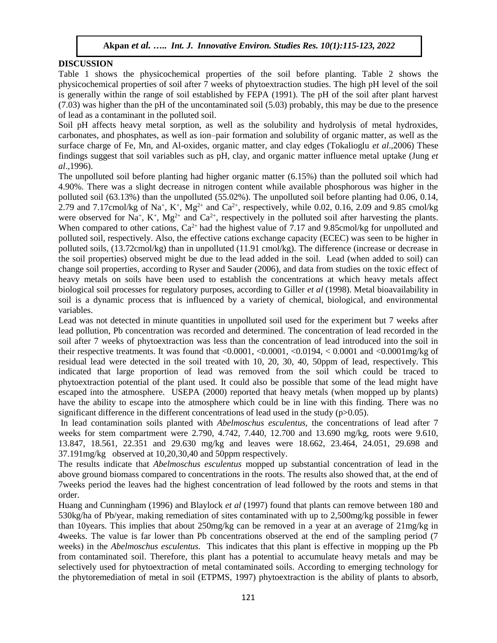### **DISCUSSION**

Table 1 shows the physicochemical properties of the soil before planting. Table 2 shows the physicochemical properties of soil after 7 weeks of phytoextraction studies. The high pH level of the soil is generally within the range of soil established by FEPA (1991). The pH of the soil after plant harvest (7.03) was higher than the pH of the uncontaminated soil (5.03) probably, this may be due to the presence of lead as a contaminant in the polluted soil.

Soil pH affects heavy metal sorption, as well as the solubility and hydrolysis of metal hydroxides, carbonates, and phosphates, as well as ion–pair formation and solubility of organic matter, as well as the surface charge of Fe, Mn, and Al-oxides, organic matter, and clay edges (Tokalioglu *et al*.,2006) These findings suggest that soil variables such as pH, clay, and organic matter influence metal uptake (Jung *et al*.,1996).

The unpolluted soil before planting had higher organic matter (6.15%) than the polluted soil which had 4.90%. There was a slight decrease in nitrogen content while available phosphorous was higher in the polluted soil (63.13%) than the unpolluted (55.02%). The unpolluted soil before planting had 0.06, 0.14, 2.79 and 7.17cmol/kg of Na<sup>+</sup>, K<sup>+</sup>, Mg<sup>2+</sup> and Ca<sup>2+</sup>, respectively, while 0.02, 0.16, 2.09 and 9.85 cmol/kg were observed for Na<sup>+</sup>, K<sup>+</sup>, Mg<sup>2+</sup> and Ca<sup>2+</sup>, respectively in the polluted soil after harvesting the plants. When compared to other cations,  $Ca^{2+}$  had the highest value of 7.17 and 9.85cmol/kg for unpolluted and polluted soil, respectively. Also, the effective cations exchange capacity (ECEC) was seen to be higher in polluted soils, (13.72cmol/kg) than in unpolluted (11.91 cmol/kg). The difference (increase or decrease in the soil properties) observed might be due to the lead added in the soil. Lead (when added to soil) can change soil properties, according to Ryser and Sauder (2006), and data from studies on the toxic effect of heavy metals on soils have been used to establish the concentrations at which heavy metals affect biological soil processes for regulatory purposes, according to Giller *et al* (1998). Metal bioavailability in soil is a dynamic process that is influenced by a variety of chemical, biological, and environmental variables.

Lead was not detected in minute quantities in unpolluted soil used for the experiment but 7 weeks after lead pollution, Pb concentration was recorded and determined. The concentration of lead recorded in the soil after 7 weeks of phytoextraction was less than the concentration of lead introduced into the soil in their respective treatments. It was found that  $\langle 0.0001, \langle 0.0001, \langle 0.0194, \langle 0.0001, \langle 0.0001, \langle 0.0001, \langle 0.000, \langle 0.000, \langle 0.000, \langle 0.00, \langle 0.00, \langle 0.00, \langle 0.00, \langle 0.0, \langle 0.0, \langle 0.0, \langle 0.0, \langle 0.0, \langle 0.0, \langle 0.0, \langle 0.$ residual lead were detected in the soil treated with 10, 20, 30, 40, 50ppm of lead, respectively. This indicated that large proportion of lead was removed from the soil which could be traced to phytoextraction potential of the plant used. It could also be possible that some of the lead might have escaped into the atmosphere. USEPA (2000) reported that heavy metals (when mopped up by plants) have the ability to escape into the atmosphere which could be in line with this finding. There was no significant difference in the different concentrations of lead used in the study ( $p>0.05$ ).

In lead contamination soils planted with *Abelmoschus esculentus,* the concentrations of lead after 7 weeks for stem compartment were 2.790, 4.742, 7.440, 12.700 and 13.690 mg/kg, roots were 9.610, 13.847, 18.561, 22.351 and 29.630 mg/kg and leaves were 18.662, 23.464, 24.051, 29.698 and 37.191mg/kg observed at 10,20,30,40 and 50ppm respectively.

The results indicate that *Abelmoschus esculentus* mopped up substantial concentration of lead in the above ground biomass compared to concentrations in the roots. The results also showed that, at the end of 7weeks period the leaves had the highest concentration of lead followed by the roots and stems in that order.

Huang and Cunningham (1996) and Blaylock *et al* (1997) found that plants can remove between 180 and 530kg/ha of Pb/year, making remediation of sites contaminated with up to 2,500mg/kg possible in fewer than 10years. This implies that about 250mg/kg can be removed in a year at an average of 21mg/kg in 4weeks. The value is far lower than Pb concentrations observed at the end of the sampling period (7 weeks) in the *Abelmoschus esculentus.* This indicates that this plant is effective in mopping up the Pb from contaminated soil. Therefore, this plant has a potential to accumulate heavy metals and may be selectively used for phytoextraction of metal contaminated soils. According to emerging technology for the phytoremediation of metal in soil (ETPMS, 1997) phytoextraction is the ability of plants to absorb,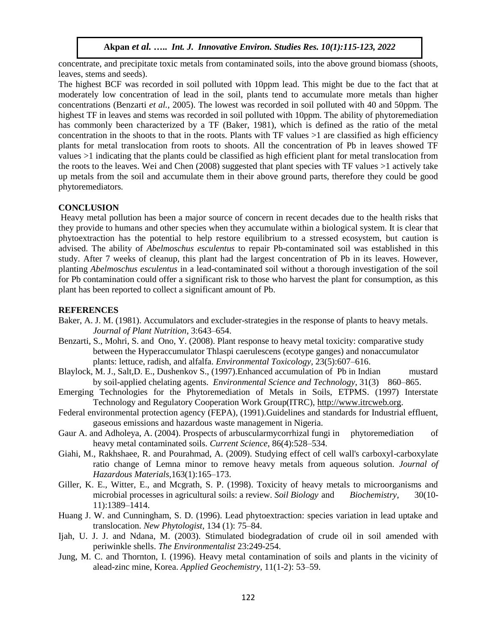concentrate, and precipitate toxic metals from contaminated soils, into the above ground biomass (shoots, leaves, stems and seeds).

The highest BCF was recorded in soil polluted with 10ppm lead. This might be due to the fact that at moderately low concentration of lead in the soil, plants tend to accumulate more metals than higher concentrations (Benzarti *et al.,* 2005). The lowest was recorded in soil polluted with 40 and 50ppm. The highest TF in leaves and stems was recorded in soil polluted with 10ppm. The ability of phytoremediation has commonly been characterized by a TF (Baker, 1981), which is defined as the ratio of the metal concentration in the shoots to that in the roots. Plants with  $TF$  values  $>1$  are classified as high efficiency plants for metal translocation from roots to shoots. All the concentration of Pb in leaves showed TF values >1 indicating that the plants could be classified as high efficient plant for metal translocation from the roots to the leaves. Wei and Chen (2008) suggested that plant species with TF values >1 actively take up metals from the soil and accumulate them in their above ground parts, therefore they could be good phytoremediators.

#### **CONCLUSION**

Heavy metal pollution has been a major source of concern in recent decades due to the health risks that they provide to humans and other species when they accumulate within a biological system. It is clear that phytoextraction has the potential to help restore equilibrium to a stressed ecosystem, but caution is advised. The ability of *Abelmoschus esculentus* to repair Pb-contaminated soil was established in this study. After 7 weeks of cleanup, this plant had the largest concentration of Pb in its leaves. However, planting *Abelmoschus esculentus* in a lead-contaminated soil without a thorough investigation of the soil for Pb contamination could offer a significant risk to those who harvest the plant for consumption, as this plant has been reported to collect a significant amount of Pb.

#### **REFERENCES**

- Baker, A. J. M. (1981). Accumulators and excluder-strategies in the response of plants to heavy metals. *Journal of Plant Nutrition*, 3:643–654.
- Benzarti, S., Mohri, S. and Ono, Y. (2008). Plant response to heavy metal toxicity: comparative study between the Hyperaccumulator Thlaspi caerulescens (ecotype ganges) and nonaccumulator plants: lettuce, radish, and alfalfa. *Environmental Toxicology,* 23(5):607–616.
- Blaylock, M. J., Salt,D. E., Dushenkov S., (1997).Enhanced accumulation of Pb in Indian mustard by soil-applied chelating agents. *Environmental Science and Technology*, 31(3) 860–865.
- Emerging Technologies for the Phytoremediation of Metals in Soils, ETPMS. (1997) Interstate Technology and Regulatory Cooperation Work Group(ITRC), [http://www.itrcweb.org.](http://www.itrcweb.org/)
- Federal environmental protection agency (FEPA), (1991).Guidelines and standards for Industrial effluent, gaseous emissions and hazardous waste management in Nigeria.
- Gaur A. and Adholeya, A. (2004). Prospects of arbuscularmycorrhizal fungi in phytoremediation of heavy metal contaminated soils. *Current Science*, 86(4):528–534.
- Giahi, M., Rakhshaee, R. and Pourahmad, A. (2009). Studying effect of cell wall's carboxyl-carboxylate ratio change of Lemna minor to remove heavy metals from aqueous solution. *Journal of Hazardous Materials,*163(1):165–173.
- Giller, K. E., Witter, E., and Mcgrath, S. P. (1998). Toxicity of heavy metals to microorganisms and microbial processes in agricultural soils: a review. *Soil Biology* and *Biochemistry*, 30(10- 11):1389–1414.
- Huang J. W. and Cunningham, S. D. (1996). Lead phytoextraction: species variation in lead uptake and translocation. *New Phytologist*, 134 (1): 75–84.
- Ijah, U. J. J. and Ndana, M. (2003). Stimulated biodegradation of crude oil in soil amended with periwinkle shells. *The Environmentalist* 23:249-254.
- Jung, M. C. and Thornton, I. (1996). Heavy metal contamination of soils and plants in the vicinity of alead-zinc mine, Korea. *Applied Geochemistry*, 11(1-2): 53–59.